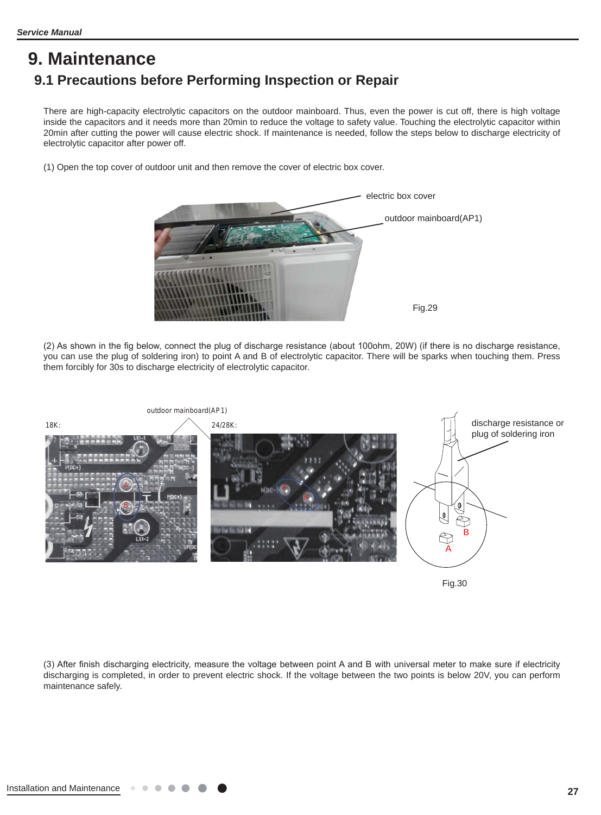# **9. Maintenance 9.1 Precautions before Performing Inspection or Repair**

There are high-capacity electrolytic capacitors on the outdoor mainboard. Thus, even the power is cut off, there is high voltage inside the capacitors and it needs more than 20min to reduce the voltage to safety value. Touching the electrolytic capacitor within 20min after cutting the power will cause electric shock. If maintenance is needed, follow the steps below to discharge electricity of electrolytic capacitor after power off.

(1) Open the top cover of outdoor unit and then remove the cover of electric box cover.



(2) As shown in the fig below, connect the plug of discharge resistance (about 100ohm, 20W) (if there is no discharge resistance, you can use the plug of soldering iron) to point A and B of electrolytic capacitor. There will be sparks when touching them. Press them forcibly for 30s to discharge electricity of electrolytic capacitor.



Fig.30

(3) After finish discharging electricity, measure the voltage between point A and B with universal meter to make sure if electricity discharging is completed, in order to prevent electric shock. If the voltage between the two points is below 20V, you can perform maintenance safely.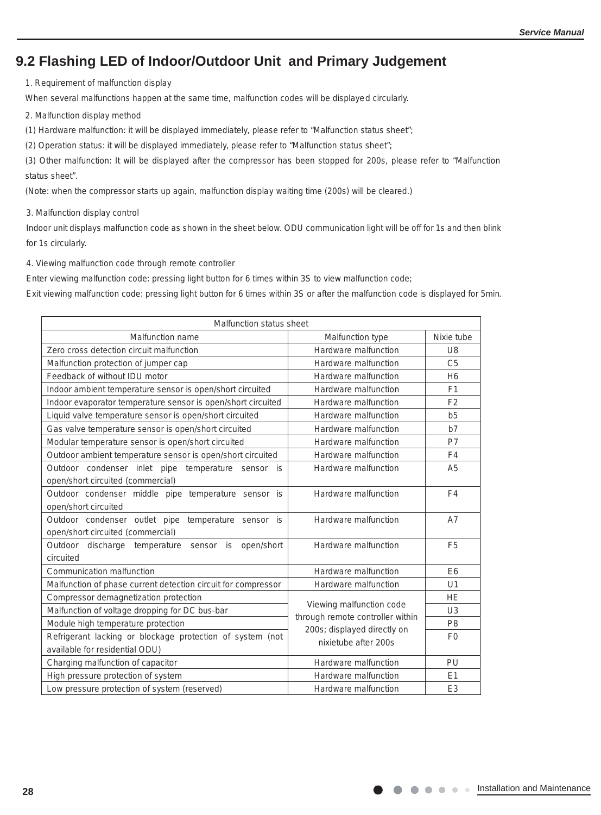## **9.2 Flashing LED of Indoor/Outdoor Unit and Primary Judgement**

1. Requirement of malfunction display

When several malfunctions happen at the same time, malfunction codes will be displayed circularly.

2. Malfunction display method

(1) Hardware malfunction: it will be displayed immediately, please refer to "Malfunction status sheet";

(2) Operation status: it will be displayed immediately, please refer to "Malfunction status sheet";

(3) Other malfunction: It will be displayed after the compressor has been stopped for 200s, please refer to "Malfunction status sheet".

(Note: when the compressor starts up again, malfunction display waiting time (200s) will be cleared.)

3. Malfunction display control

Indoor unit displays malfunction code as shown in the sheet below. ODU communication light will be off for 1s and then blink for 1s circularly.

4. Viewing malfunction code through remote controller

Enter viewing malfunction code: pressing light button for 6 times within 3S to view malfunction code;

Exit viewing malfunction code: pressing light button for 6 times within 3S or after the malfunction code is displayed for 5min.

| Malfunction status sheet                                      |                                  |                |
|---------------------------------------------------------------|----------------------------------|----------------|
| <b>Malfunction name</b>                                       | Malfunction type                 | Nixie tube     |
| Zero cross detection circuit malfunction                      | Hardware malfunction             | U <sub>8</sub> |
| Malfunction protection of jumper cap                          | Hardware malfunction             | C <sub>5</sub> |
| Feedback of without IDU motor                                 | Hardware malfunction             | H <sub>6</sub> |
| Indoor ambient temperature sensor is open/short circuited     | Hardware malfunction             | F <sub>1</sub> |
| Indoor evaporator temperature sensor is open/short circuited  | Hardware malfunction             | F <sub>2</sub> |
| Liquid valve temperature sensor is open/short circuited       | Hardware malfunction             | b <sub>5</sub> |
| Gas valve temperature sensor is open/short circuited          | Hardware malfunction             | b7             |
| Modular temperature sensor is open/short circuited            | Hardware malfunction             | P7             |
| Outdoor ambient temperature sensor is open/short circuited    | Hardware malfunction             | F4             |
| Outdoor condenser inlet pipe temperature sensor is            | Hardware malfunction             | A <sub>5</sub> |
| open/short circuited (commercial)                             |                                  |                |
| Outdoor condenser middle pipe temperature sensor is           | Hardware malfunction             | F <sub>4</sub> |
| open/short circuited                                          |                                  |                |
| Outdoor condenser outlet pipe temperature sensor is           | Hardware malfunction             | A7             |
| open/short circuited (commercial)                             |                                  |                |
| Outdoor discharge temperature sensor is<br>open/short         | Hardware malfunction             | F <sub>5</sub> |
| circuited                                                     |                                  |                |
| Communication malfunction                                     | Hardware malfunction             | E <sub>6</sub> |
| Malfunction of phase current detection circuit for compressor | Hardware malfunction             | U <sub>1</sub> |
| Compressor demagnetization protection                         | Viewing malfunction code         | <b>HE</b>      |
| Malfunction of voltage dropping for DC bus-bar                | through remote controller within | U <sub>3</sub> |
| Module high temperature protection                            | 200s; displayed directly on      | P <sub>8</sub> |
| Refrigerant lacking or blockage protection of system (not     | nixietube after 200s             | F <sub>0</sub> |
| available for residential ODU)                                |                                  |                |
| Charging malfunction of capacitor                             | Hardware malfunction             | PU             |
| High pressure protection of system                            | Hardware malfunction             | E1             |
| Low pressure protection of system (reserved)                  | Hardware malfunction             | E <sub>3</sub> |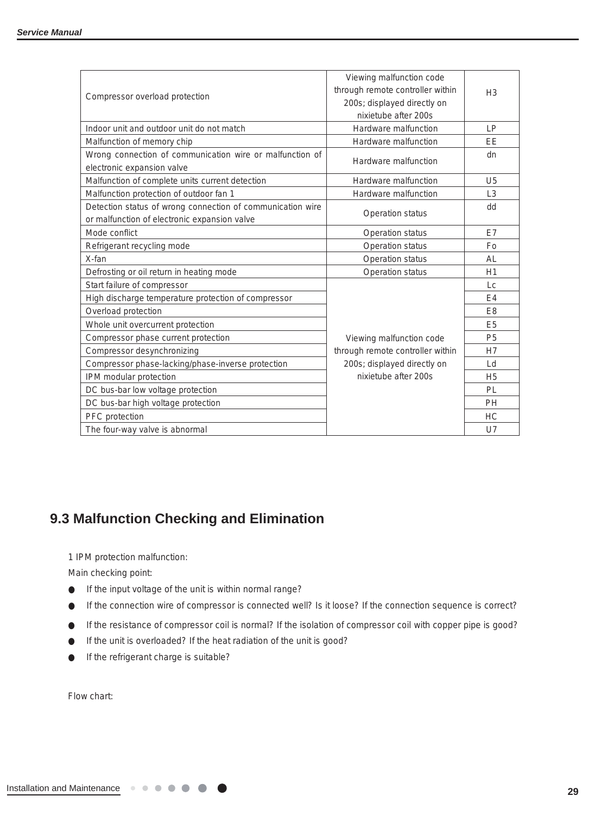|                                                            | Viewing malfunction code         |                |
|------------------------------------------------------------|----------------------------------|----------------|
|                                                            | through remote controller within | H <sub>3</sub> |
| Compressor overload protection                             | 200s; displayed directly on      |                |
|                                                            | nixietube after 200s             |                |
| Indoor unit and outdoor unit do not match                  | Hardware malfunction             | LP             |
| Malfunction of memory chip                                 | Hardware malfunction             | EE             |
| Wrong connection of communication wire or malfunction of   |                                  | dn             |
| electronic expansion valve                                 | Hardware malfunction             |                |
| Malfunction of complete units current detection            | Hardware malfunction             | U <sub>5</sub> |
| Malfunction protection of outdoor fan 1                    | Hardware malfunction             | L <sub>3</sub> |
| Detection status of wrong connection of communication wire |                                  | dd             |
| or malfunction of electronic expansion valve               | Operation status                 |                |
| Mode conflict                                              | Operation status                 | E7             |
| Refrigerant recycling mode                                 | Operation status                 | Fo             |
| X-fan                                                      | Operation status                 | <b>AL</b>      |
| Defrosting or oil return in heating mode                   | Operation status                 | H1             |
| Start failure of compressor                                |                                  | Lc             |
| High discharge temperature protection of compressor        |                                  | E4             |
| Overload protection                                        |                                  | E <sub>8</sub> |
| Whole unit overcurrent protection                          |                                  | E <sub>5</sub> |
| Compressor phase current protection                        | Viewing malfunction code         | P <sub>5</sub> |
| Compressor desynchronizing                                 | through remote controller within | H7             |
| Compressor phase-lacking/phase-inverse protection          | 200s; displayed directly on      | Ld             |
| IPM modular protection                                     | nixietube after 200s             | H <sub>5</sub> |
| DC bus-bar low voltage protection                          |                                  | PL             |
| DC bus-bar high voltage protection                         |                                  | PH             |
| PFC protection                                             |                                  | <b>HC</b>      |
| The four-way valve is abnormal                             |                                  | $U$ 7          |

 $\mathcal{A}_1$  . The communication failure with  $\mathcal{A}_2$  of  $\mathcal{A}_3$  and  $\mathcal{A}_4$   $\mathcal{A}_5$  and  $\mathcal{A}_6$   $\mathcal{A}_7$  and  $\mathcal{A}_8$  and  $\mathcal{A}_7$  and  $\mathcal{A}_8$  and  $\mathcal{A}_9$  and  $\mathcal{A}_9$  and  $\mathcal{A}_9$  and  $\mathcal{A}_9$  and  $\mathcal{$ 

## **9.3 Malfunction Checking and Elimination**

1 IPM protection malfunction: 1 IPM protection malfunction:

Main checking point: Main checking point:

● If the input voltage of the unit is within normal range? ● If the input voltage of the unit is within normal range?

If the connection wire of compressor is connected well? Is it loose? If the connection sequence is correct?

If the resistance of compressor coil is normal? If the isolation of compressor coil with copper pipe is good? If the unit is overloaded? If the heat radiation of the unit is good?

If the refrigerant charge is suitable?

Flow chart: Flow chart: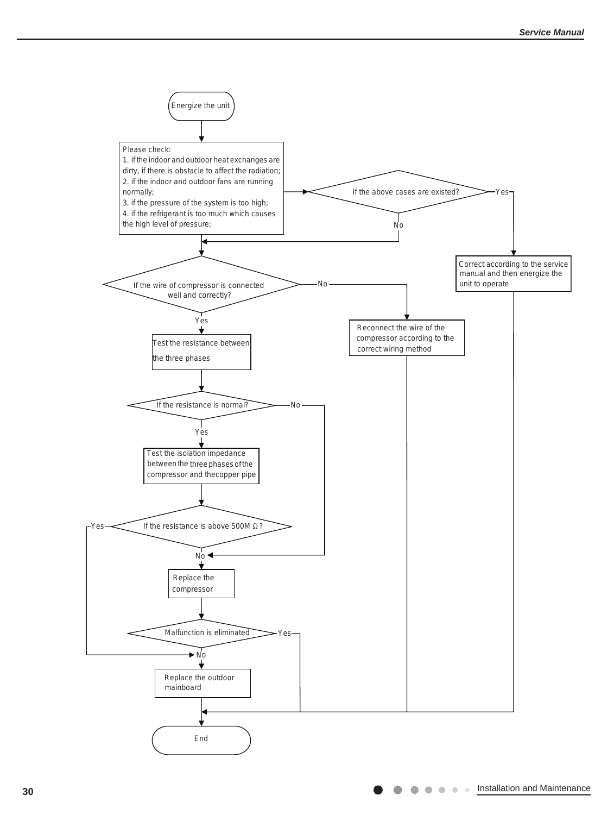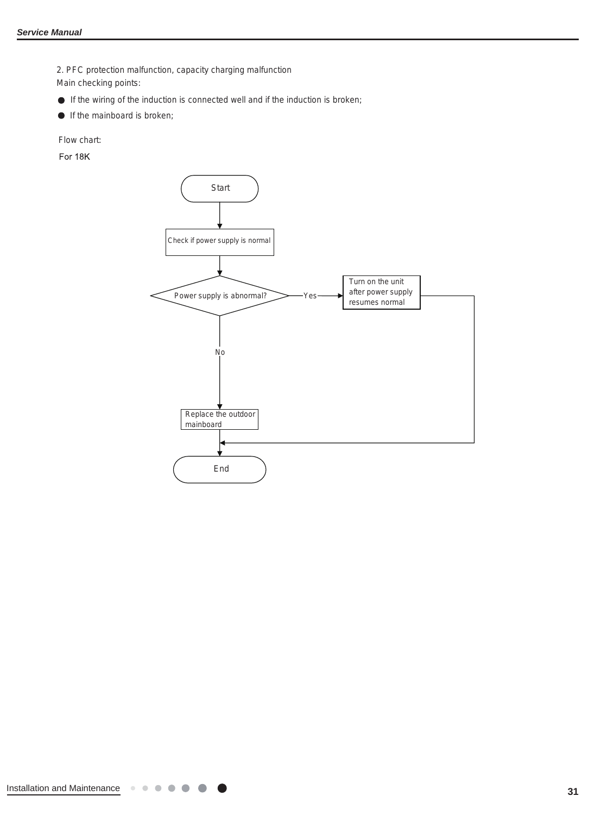2. PFC protection malfunction, capacity charging malfunction

Main checking points:

- If the wiring of the induction is connected well and if the induction is broken;
- **If the mainboard is broken;**

Flow chart:

For 18K

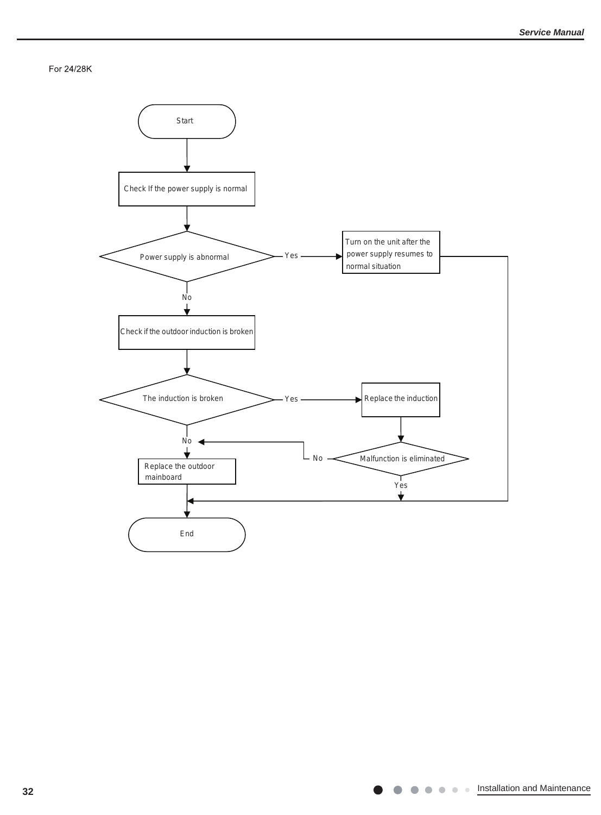For 24/28K

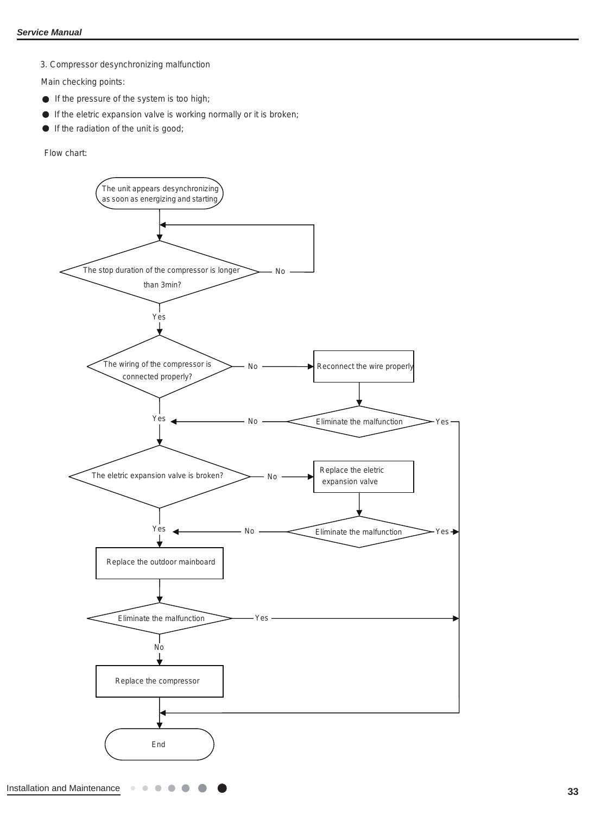3. Compressor desynchronizing malfunction

Main checking points:

- If the pressure of the system is too high;
- $\bullet$  If the eletric expansion valve is working normally or it is broken;
- If the radiation of the unit is good;  $\bullet$

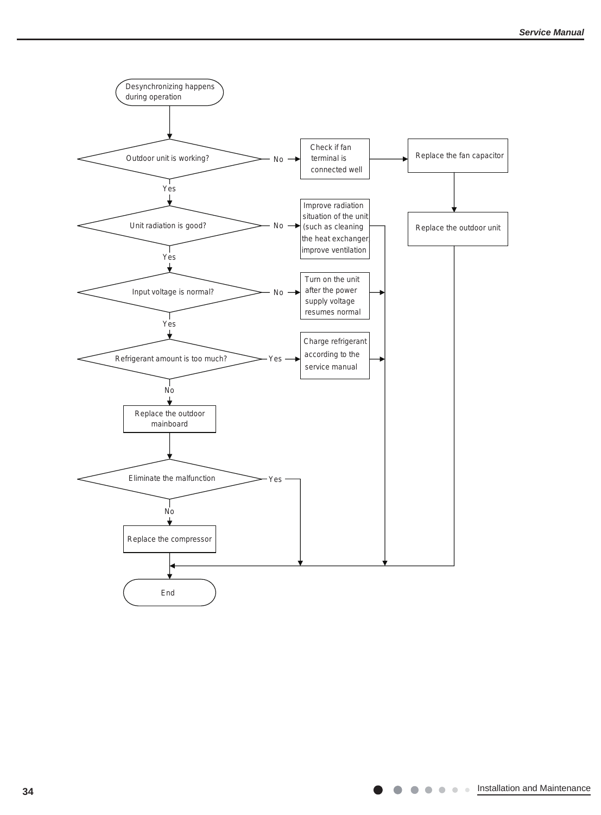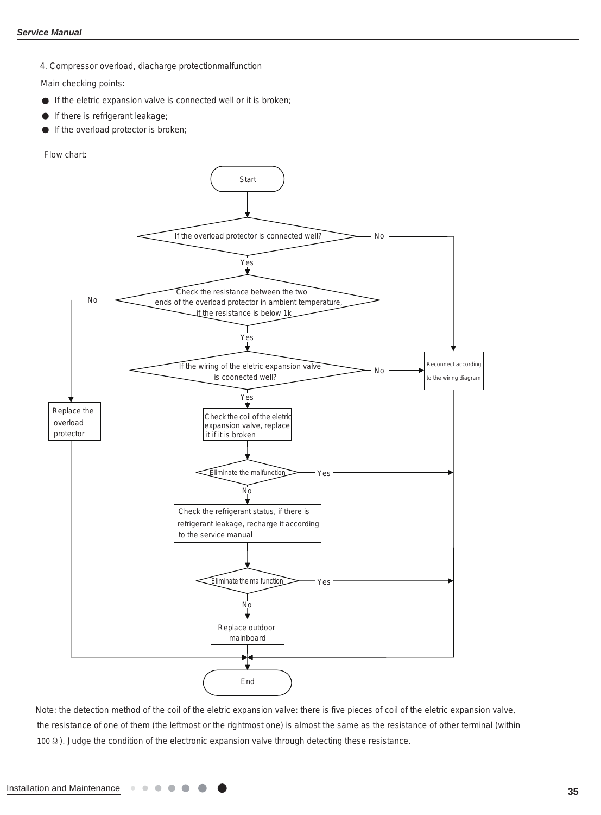4. Compressor overload, diacharge protectionmalfunction

Main checking points:

- $\bullet$  If the eletric expansion valve is connected well or it is broken;
- If there is refrigerant leakage;
- $\bullet$ If the overload protector is broken;

Flow chart:



Note: the detection method of the coil of the eletric expansion valve: there is five pieces of coil of the eletric expansion valve, the resistance of one of them (the leftmost or the rightmost one) is almost the same as the resistance of other terminal (within 100  $\Omega$ ). Judge the condition of the electronic expansion valve through detecting these resistance.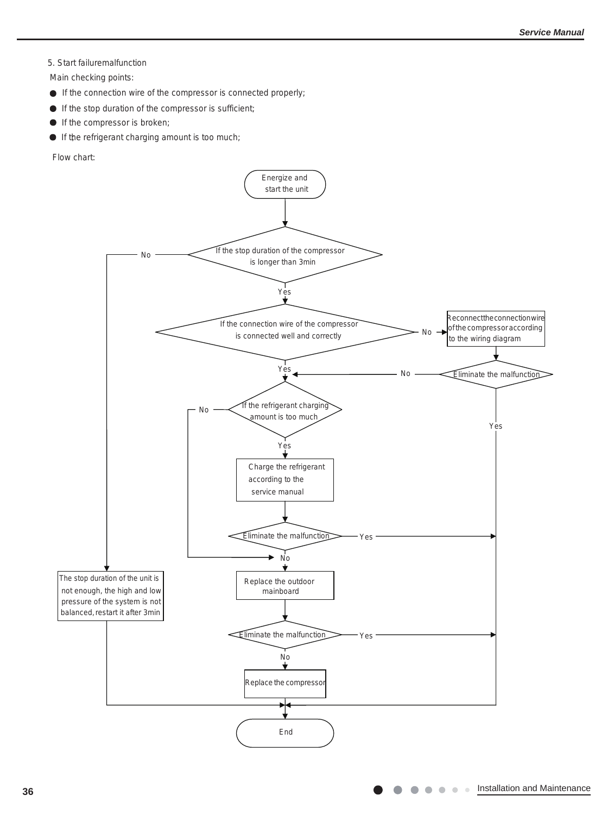#### 5. Start failuremalfunction

Main checking points:

- If the connection wire of the compressor is connected properly;
- If the stop duration of the compressor is sufficient;
- If the compressor is broken;
- If the refrigerant charging amount is too much;

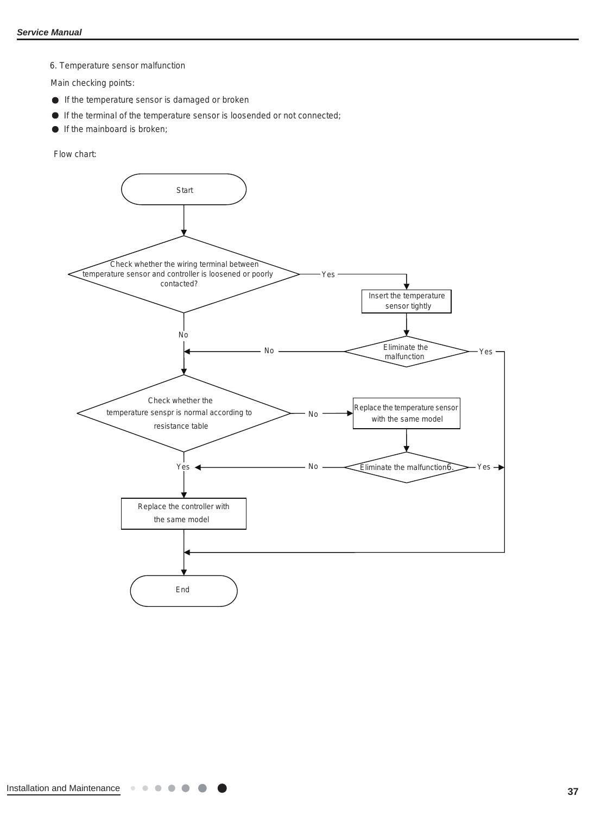6. Temperature sensor malfunction

Main checking points:

- If the temperature sensor is damaged or broken
- If the terminal of the temperature sensor is loosended or not connected;
- If the mainboard is broken;

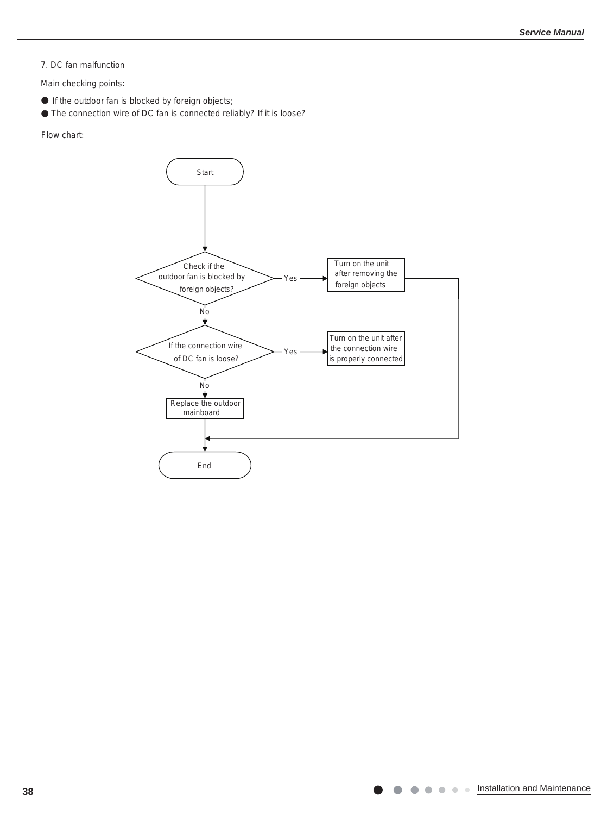7. DC fan malfunction

Main checking points:

- If the outdoor fan is blocked by foreign objects;
- The connection wire of DC fan is connected reliably? If it is loose?

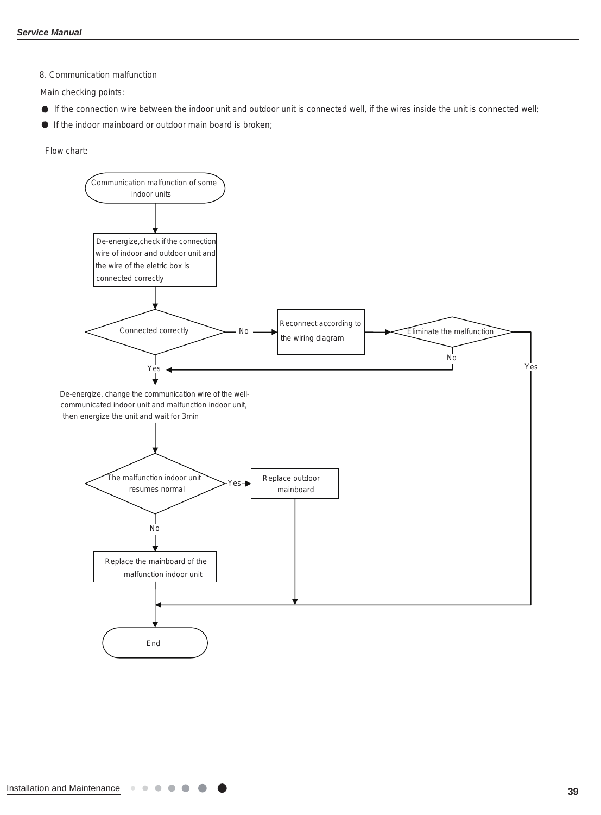8. Communication malfunction

Main checking points:

- If the connection wire between the indoor unit and outdoor unit is connected well, if the wires inside the unit is connected well;
- If the indoor mainboard or outdoor main board is broken;

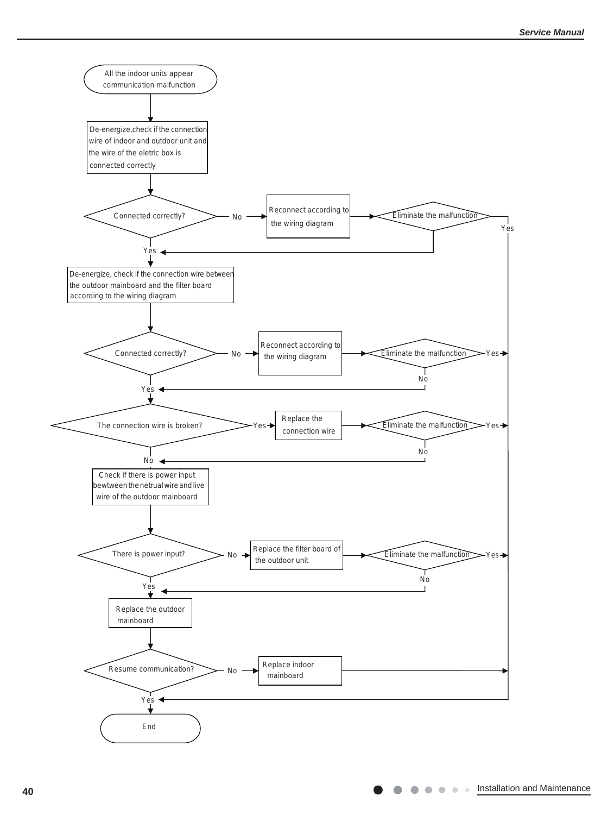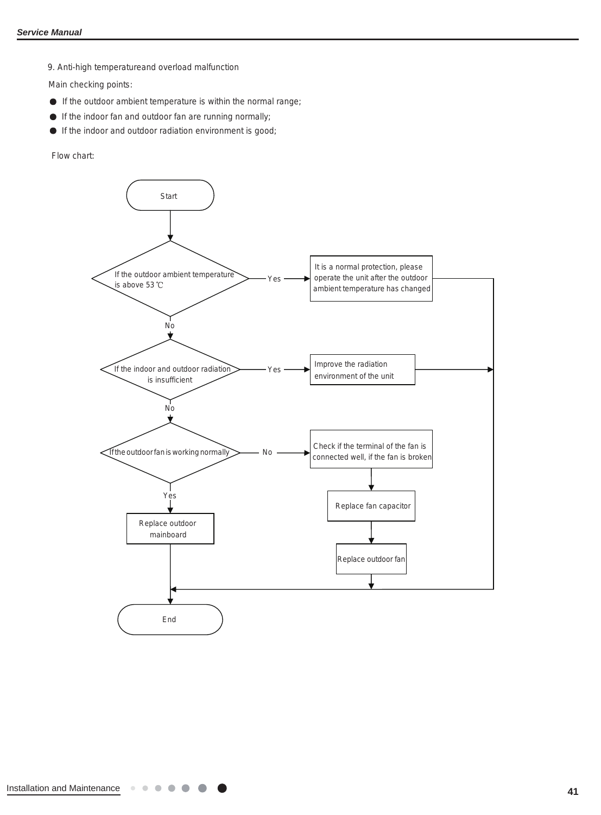9. Anti-high temperatureand overload malfunction

Main checking points:

- If the outdoor ambient temperature is within the normal range;
- If the indoor fan and outdoor fan are running normally;
- If the indoor and outdoor radiation environment is good;

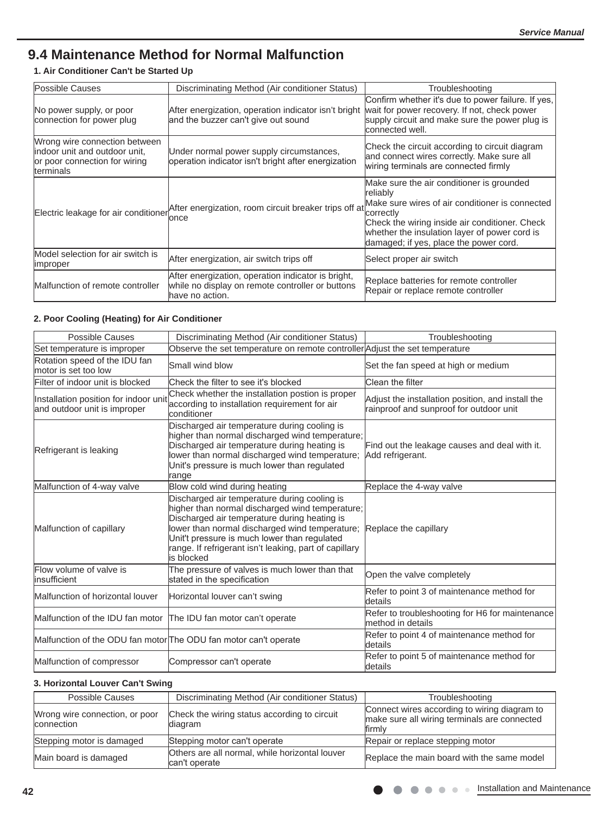# **9.4 Maintenance Method for Normal Malfunction**

## **1. Air Conditioner Can't be Started Up**

| Possible Causes                                                                                                     | Discriminating Method (Air conditioner Status)                                                                            | Troubleshooting                                                                                                                                                                                                                                                    |
|---------------------------------------------------------------------------------------------------------------------|---------------------------------------------------------------------------------------------------------------------------|--------------------------------------------------------------------------------------------------------------------------------------------------------------------------------------------------------------------------------------------------------------------|
| No power supply, or poor<br>connection for power plug                                                               | After energization, operation indicator isn't bright<br>and the buzzer can't give out sound                               | Confirm whether it's due to power failure. If yes,<br>wait for power recovery. If not, check power<br>supply circuit and make sure the power plug is<br>connected well.                                                                                            |
| Wrong wire connection between<br>indoor unit and outdoor unit,<br>or poor connection for wiring<br><b>terminals</b> | Under normal power supply circumstances,<br>operation indicator isn't bright after energization                           | Check the circuit according to circuit diagram<br>and connect wires correctly. Make sure all<br>wiring terminals are connected firmly                                                                                                                              |
| Electric leakage for air conditioner                                                                                | After energization, room circuit breaker trips off at<br>lonce                                                            | Make sure the air conditioner is grounded<br>reliablv<br>Make sure wires of air conditioner is connected<br>correctly<br>Check the wiring inside air conditioner. Check<br>whether the insulation layer of power cord is<br>damaged; if yes, place the power cord. |
| Model selection for air switch is<br><b>Improper</b>                                                                | After energization, air switch trips off                                                                                  | Select proper air switch                                                                                                                                                                                                                                           |
| Malfunction of remote controller                                                                                    | After energization, operation indicator is bright,<br>while no display on remote controller or buttons<br>have no action. | Replace batteries for remote controller<br>Repair or replace remote controller                                                                                                                                                                                     |

#### **2. Poor Cooling (Heating) for Air Conditioner**

| <b>Possible Causes</b>                                                | Discriminating Method (Air conditioner Status)                                                                                                                                                                                                                                                                             | Troubleshooting                                                                              |
|-----------------------------------------------------------------------|----------------------------------------------------------------------------------------------------------------------------------------------------------------------------------------------------------------------------------------------------------------------------------------------------------------------------|----------------------------------------------------------------------------------------------|
| Set temperature is improper                                           | Observe the set temperature on remote controller Adjust the set temperature                                                                                                                                                                                                                                                |                                                                                              |
| Rotation speed of the IDU fan<br>motor is set too low                 | Small wind blow                                                                                                                                                                                                                                                                                                            | Set the fan speed at high or medium                                                          |
| Filter of indoor unit is blocked                                      | Check the filter to see it's blocked                                                                                                                                                                                                                                                                                       | Clean the filter                                                                             |
| Installation position for indoor unit<br>and outdoor unit is improper | Check whether the installation postion is proper<br>according to installation requirement for air<br>lconditioner                                                                                                                                                                                                          | Adjust the installation position, and install the<br>rainproof and sunproof for outdoor unit |
| Refrigerant is leaking                                                | Discharged air temperature during cooling is<br>higher than normal discharged wind temperature;<br>Discharged air temperature during heating is<br>lower than normal discharged wind temperature;<br>Unit's pressure is much lower than regulated<br>range                                                                 | Find out the leakage causes and deal with it.<br>Add refrigerant.                            |
| Malfunction of 4-way valve                                            | Blow cold wind during heating                                                                                                                                                                                                                                                                                              | Replace the 4-way valve                                                                      |
| Malfunction of capillary                                              | Discharged air temperature during cooling is<br>higher than normal discharged wind temperature;<br>Discharged air temperature during heating is<br>lower than normal discharged wind temperature;<br>Unit't pressure is much lower than regulated<br>range. If refrigerant isn't leaking, part of capillary<br>lis blocked | Replace the capillary                                                                        |
| Flow volume of valve is<br>linsufficient                              | The pressure of valves is much lower than that<br>stated in the specification                                                                                                                                                                                                                                              | Open the valve completely                                                                    |
| Malfunction of horizontal louver                                      | Horizontal louver can't swing                                                                                                                                                                                                                                                                                              | Refer to point 3 of maintenance method for<br>details                                        |
| Malfunction of the IDU fan motor The IDU fan motor can't operate      |                                                                                                                                                                                                                                                                                                                            | Refer to troubleshooting for H6 for maintenance<br>lmethod in details                        |
| Malfunction of the ODU fan motor The ODU fan motor can't operate      |                                                                                                                                                                                                                                                                                                                            | Refer to point 4 of maintenance method for<br>details                                        |
| Malfunction of compressor                                             | Compressor can't operate                                                                                                                                                                                                                                                                                                   | Refer to point 5 of maintenance method for<br>details                                        |

### **3. Horizontal Louver Can't Swing**

| Possible Causes                              | Discriminating Method (Air conditioner Status)                  | Troubleshooting                                                                                        |
|----------------------------------------------|-----------------------------------------------------------------|--------------------------------------------------------------------------------------------------------|
| Wrong wire connection, or poor<br>connection | Check the wiring status according to circuit<br>diagram         | Connect wires according to wiring diagram to<br>make sure all wiring terminals are connected<br>firmly |
| Stepping motor is damaged                    | Stepping motor can't operate                                    | Repair or replace stepping motor                                                                       |
| Main board is damaged                        | Others are all normal, while horizontal louver<br>can't operate | Replace the main board with the same model                                                             |